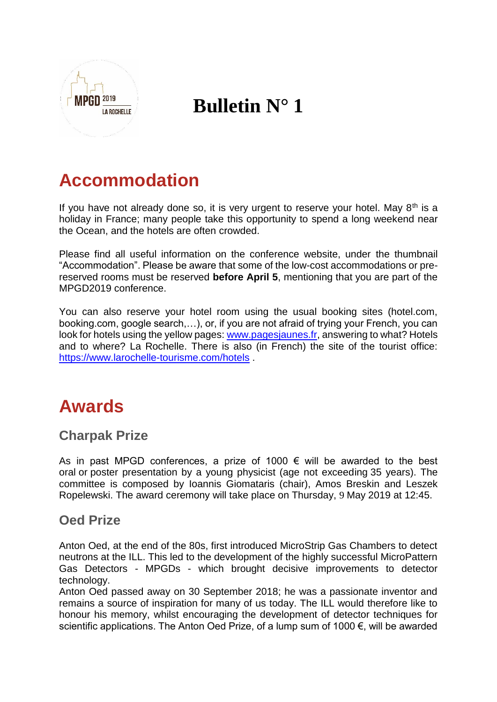

# **Bulletin N° 1**

# **Accommodation**

If you have not already done so, it is very urgent to reserve your hotel. May  $8<sup>th</sup>$  is a holiday in France; many people take this opportunity to spend a long weekend near the Ocean, and the hotels are often crowded.

Please find all useful information on the conference website, under the thumbnail "Accommodation". Please be aware that some of the low-cost accommodations or prereserved rooms must be reserved **before April 5**, mentioning that you are part of the MPGD2019 conference.

You can also reserve your hotel room using the usual booking sites (hotel.com, booking.com, google search,…), or, if you are not afraid of trying your French, you can look for hotels using the yellow pages: [www.pagesjaunes.fr,](http://www.pagesjaunes.fr/) answering to what? Hotels and to where? La Rochelle. There is also (in French) the site of the tourist office: <https://www.larochelle-tourisme.com/hotels> .

# **Awards**

#### **Charpak Prize**

As in past MPGD conferences, a prize of 1000  $\epsilon$  will be awarded to the best oral or poster presentation by a young physicist (age not exceeding 35 years). The committee is composed by Ioannis Giomataris (chair), Amos Breskin and Leszek Ropelewski. The award ceremony will take place on Thursday, 9 May 2019 at 12:45.

#### **Oed Prize**

Anton Oed, at the end of the 80s, first introduced MicroStrip Gas Chambers to detect neutrons at the ILL. This led to the development of the highly successful MicroPattern Gas Detectors - MPGDs - which brought decisive improvements to detector technology.

Anton Oed passed away on 30 September 2018; he was a passionate inventor and remains a source of inspiration for many of us today. The ILL would therefore like to honour his memory, whilst encouraging the development of detector techniques for scientific applications. The Anton Oed Prize, of a lump sum of 1000 €, will be awarded